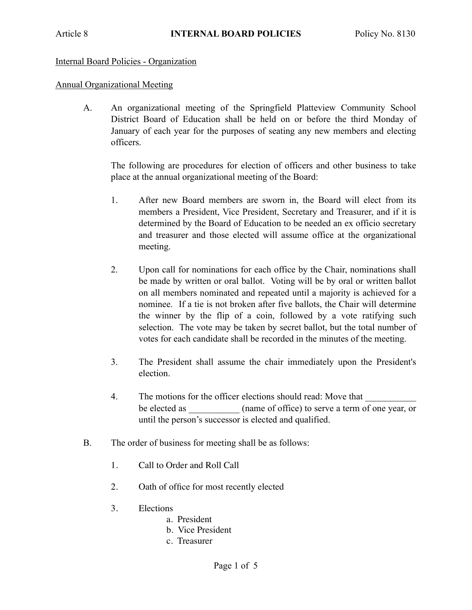## Internal Board Policies - Organization

## Annual Organizational Meeting

A. An organizational meeting of the Springfield Platteview Community School District Board of Education shall be held on or before the third Monday of January of each year for the purposes of seating any new members and electing officers.

The following are procedures for election of officers and other business to take place at the annual organizational meeting of the Board:

- 1. After new Board members are sworn in, the Board will elect from its members a President, Vice President, Secretary and Treasurer, and if it is determined by the Board of Education to be needed an ex officio secretary and treasurer and those elected will assume office at the organizational meeting.
- 2. Upon call for nominations for each office by the Chair, nominations shall be made by written or oral ballot. Voting will be by oral or written ballot on all members nominated and repeated until a majority is achieved for a nominee. If a tie is not broken after five ballots, the Chair will determine the winner by the flip of a coin, followed by a vote ratifying such selection. The vote may be taken by secret ballot, but the total number of votes for each candidate shall be recorded in the minutes of the meeting.
- 3. The President shall assume the chair immediately upon the President's election.
- 4. The motions for the officer elections should read: Move that be elected as  $(name of office)$  to serve a term of one year, or until the person's successor is elected and qualified.
- B. The order of business for meeting shall be as follows:
	- 1. Call to Order and Roll Call
	- 2. Oath of office for most recently elected
	- 3. Elections
		- a. President
		- b. Vice President
		- c. Treasurer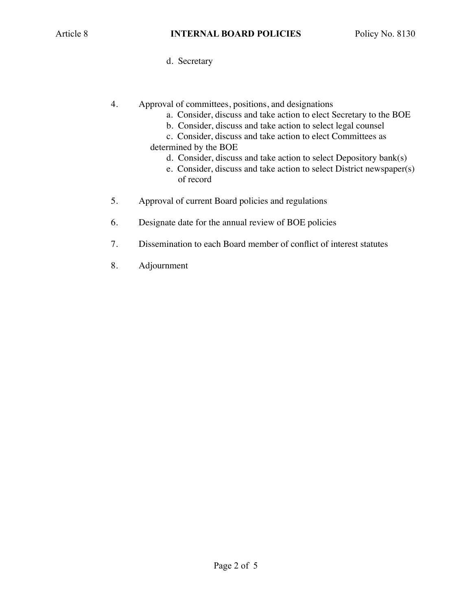- d. Secretary
- 4. Approval of committees, positions, and designations
	- a. Consider, discuss and take action to elect Secretary to the BOE
	- b. Consider, discuss and take action to select legal counsel
	- c. Consider, discuss and take action to elect Committees as determined by the BOE
		- d. Consider, discuss and take action to select Depository bank(s)
		- e. Consider, discuss and take action to select District newspaper(s) of record
- 5. Approval of current Board policies and regulations
- 6. Designate date for the annual review of BOE policies
- 7. Dissemination to each Board member of conflict of interest statutes
- 8. Adjournment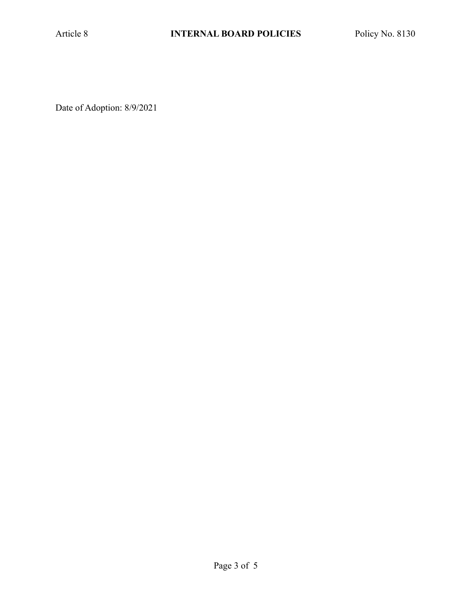Date of Adoption: 8/9/2021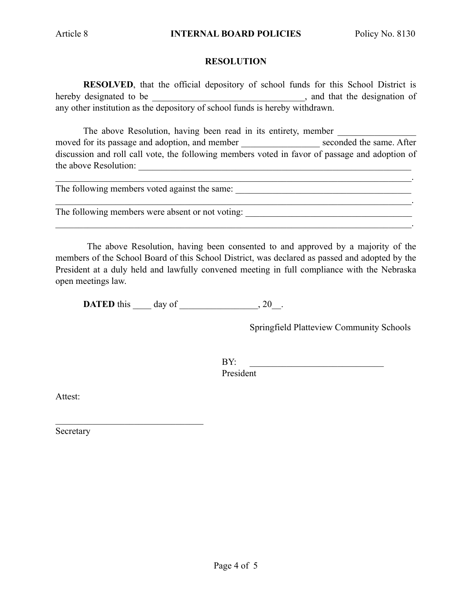## **RESOLUTION**

**RESOLVED**, that the official depository of school funds for this School District is hereby designated to be example and that the designation of  $\overline{a}$ , and that the designation of any other institution as the depository of school funds is hereby withdrawn.

The above Resolution, having been read in its entirety, member moved for its passage and adoption, and member seconded the same. After discussion and roll call vote, the following members voted in favor of passage and adoption of the above Resolution:

 $\mathcal{L}_\mathcal{L} = \mathcal{L}_\mathcal{L} = \mathcal{L}_\mathcal{L} = \mathcal{L}_\mathcal{L} = \mathcal{L}_\mathcal{L} = \mathcal{L}_\mathcal{L} = \mathcal{L}_\mathcal{L} = \mathcal{L}_\mathcal{L} = \mathcal{L}_\mathcal{L} = \mathcal{L}_\mathcal{L} = \mathcal{L}_\mathcal{L} = \mathcal{L}_\mathcal{L} = \mathcal{L}_\mathcal{L} = \mathcal{L}_\mathcal{L} = \mathcal{L}_\mathcal{L} = \mathcal{L}_\mathcal{L} = \mathcal{L}_\mathcal{L}$ 

 $\mathcal{L}_\mathcal{L} = \mathcal{L}_\mathcal{L} = \mathcal{L}_\mathcal{L} = \mathcal{L}_\mathcal{L} = \mathcal{L}_\mathcal{L} = \mathcal{L}_\mathcal{L} = \mathcal{L}_\mathcal{L} = \mathcal{L}_\mathcal{L} = \mathcal{L}_\mathcal{L} = \mathcal{L}_\mathcal{L} = \mathcal{L}_\mathcal{L} = \mathcal{L}_\mathcal{L} = \mathcal{L}_\mathcal{L} = \mathcal{L}_\mathcal{L} = \mathcal{L}_\mathcal{L} = \mathcal{L}_\mathcal{L} = \mathcal{L}_\mathcal{L}$ 

 $\mathcal{L}_\mathcal{L} = \mathcal{L}_\mathcal{L} = \mathcal{L}_\mathcal{L} = \mathcal{L}_\mathcal{L} = \mathcal{L}_\mathcal{L} = \mathcal{L}_\mathcal{L} = \mathcal{L}_\mathcal{L} = \mathcal{L}_\mathcal{L} = \mathcal{L}_\mathcal{L} = \mathcal{L}_\mathcal{L} = \mathcal{L}_\mathcal{L} = \mathcal{L}_\mathcal{L} = \mathcal{L}_\mathcal{L} = \mathcal{L}_\mathcal{L} = \mathcal{L}_\mathcal{L} = \mathcal{L}_\mathcal{L} = \mathcal{L}_\mathcal{L}$ 

The following members voted against the same: \_\_\_\_\_\_\_\_\_\_\_\_\_\_\_\_\_\_\_\_\_\_\_\_\_\_\_\_\_\_\_\_\_\_\_

The following members were absent or not voting:

 The above Resolution, having been consented to and approved by a majority of the members of the School Board of this School District, was declared as passed and adopted by the President at a duly held and lawfully convened meeting in full compliance with the Nebraska open meetings law.

**DATED** this  $\qquad \qquad$  day of  $\qquad \qquad$ , 20

Springfield Platteview Community Schools

 $BY:$ President

Attest:

Secretary

 $\mathcal{L}_\text{max}$